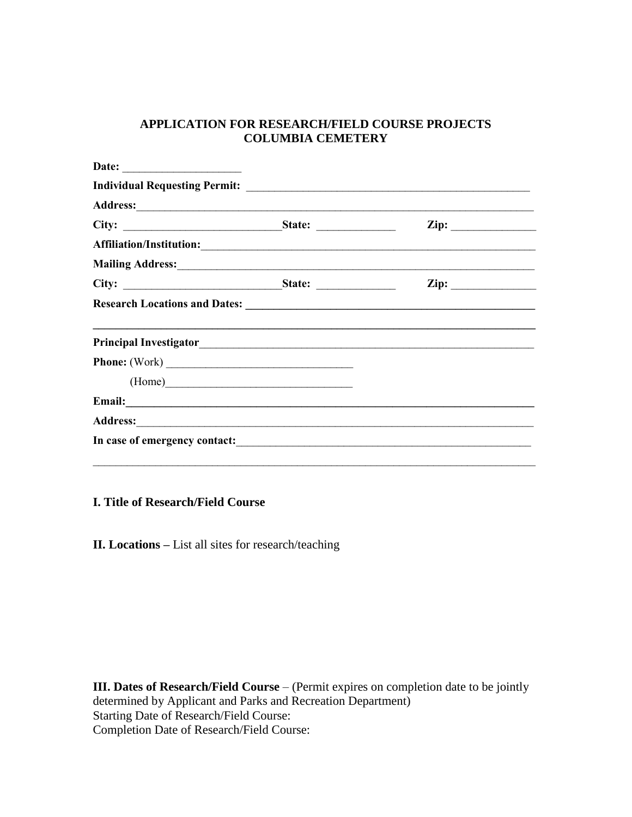## **APPLICATION FOR RESEARCH/FIELD COURSE PROJECTS COLUMBIA CEMETERY**

| Date: |        |                                                                                                                |
|-------|--------|----------------------------------------------------------------------------------------------------------------|
|       |        |                                                                                                                |
|       |        |                                                                                                                |
|       |        | $\mathbf{Zip:}$                                                                                                |
|       |        |                                                                                                                |
|       |        | Mailing Address: 2008 and 2008 and 2008 and 2008 and 2008 and 2008 and 2008 and 2008 and 2008 and 2008 and 200 |
|       |        | $\mathbf{Zip:}$                                                                                                |
|       |        |                                                                                                                |
|       |        |                                                                                                                |
|       | (Home) |                                                                                                                |
|       |        |                                                                                                                |
|       |        |                                                                                                                |
|       |        |                                                                                                                |

**I. Title of Research/Field Course**

**II. Locations –** List all sites for research/teaching

**III. Dates of Research/Field Course** – (Permit expires on completion date to be jointly determined by Applicant and Parks and Recreation Department) Starting Date of Research/Field Course: Completion Date of Research/Field Course: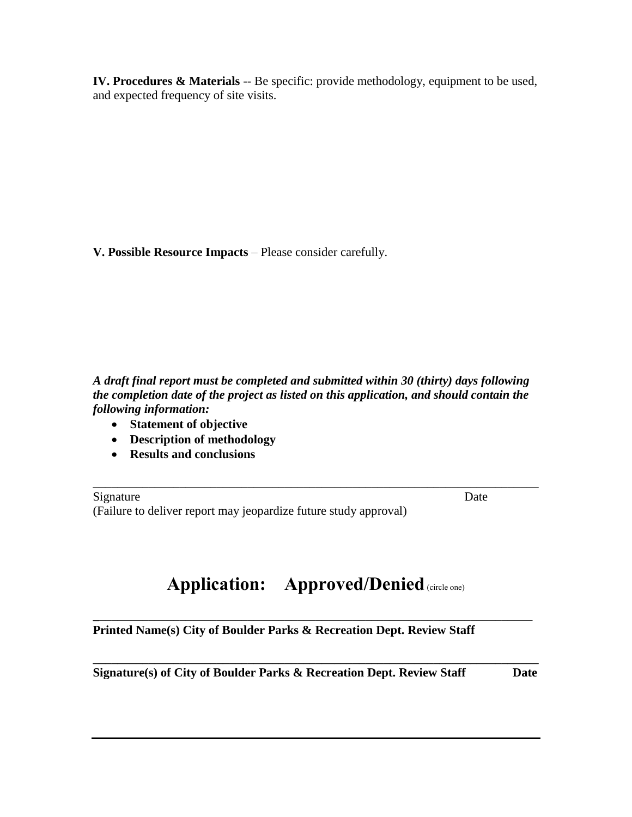**IV. Procedures & Materials** -- Be specific: provide methodology, equipment to be used, and expected frequency of site visits.

**V. Possible Resource Impacts** – Please consider carefully.

*A draft final report must be completed and submitted within 30 (thirty) days following the completion date of the project as listed on this application, and should contain the following information:*

- **Statement of objective**
- **Description of methodology**
- **Results and conclusions**

Signature Date (Failure to deliver report may jeopardize future study approval)

\_\_\_\_\_\_\_\_\_\_\_\_\_\_\_\_\_\_\_\_\_\_\_\_\_\_\_\_\_\_\_\_\_\_\_\_\_\_\_\_\_\_\_\_\_\_\_\_\_\_\_\_\_\_\_\_\_\_\_\_\_\_\_\_\_\_\_\_\_\_\_\_

## **Application:** Approved/Denied (circle one)

**\_**\_\_\_\_\_\_\_\_\_\_\_\_\_\_\_\_\_\_\_\_\_\_\_\_\_\_\_\_\_\_\_\_\_\_\_\_\_\_\_\_\_\_\_\_\_\_\_\_\_\_\_\_\_\_\_\_\_\_\_\_\_\_\_\_\_\_\_\_\_\_ **Printed Name(s) City of Boulder Parks & Recreation Dept. Review Staff** 

**\_\_\_\_\_\_\_\_\_\_\_\_\_\_\_\_\_\_\_\_\_\_\_\_\_\_\_\_\_\_\_\_\_\_\_\_\_\_\_\_\_\_\_\_\_\_\_\_\_\_\_\_\_\_\_\_\_\_\_\_\_\_\_\_\_\_\_\_\_\_\_\_ Signature(s) of City of Boulder Parks & Recreation Dept. Review Staff Date**